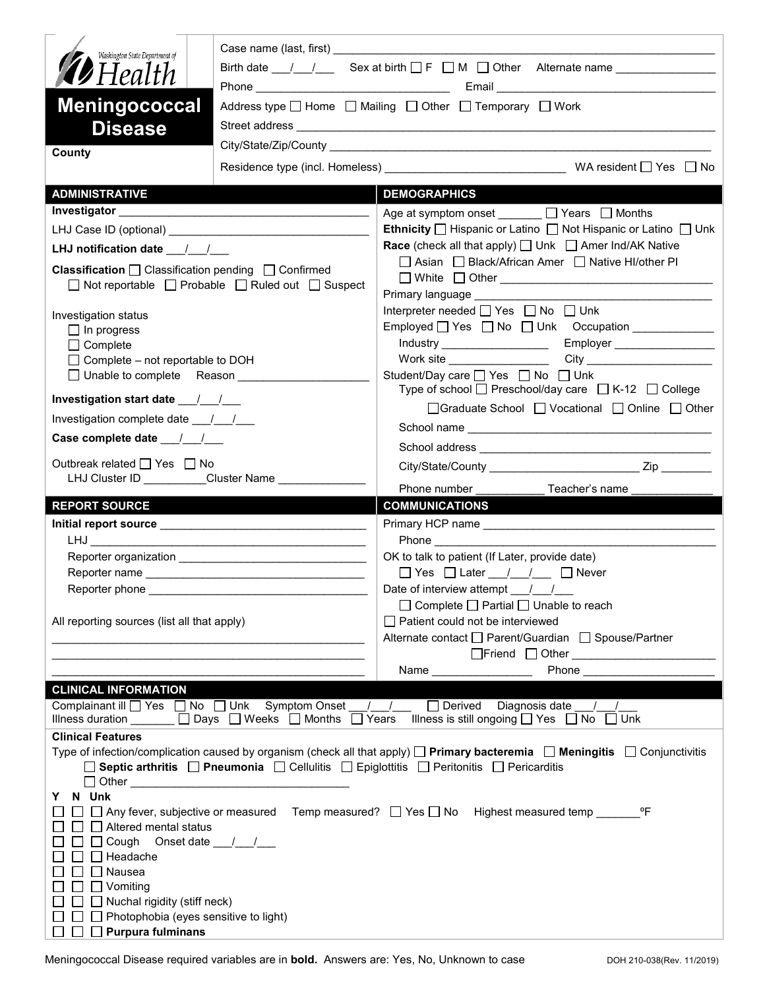| Washington State Department of                                                                                                                                                       |                                                                                                               |                                                                                                                                                                                                                                                                                                                                                       |  |  |  |
|--------------------------------------------------------------------------------------------------------------------------------------------------------------------------------------|---------------------------------------------------------------------------------------------------------------|-------------------------------------------------------------------------------------------------------------------------------------------------------------------------------------------------------------------------------------------------------------------------------------------------------------------------------------------------------|--|--|--|
| <b>19</b> Health                                                                                                                                                                     | Birth date $\frac{1}{\sqrt{1-\frac{1}{n}}}$ Sex at birth $\Box F$ $\Box M$ $\Box$ Other Alternate name $\Box$ |                                                                                                                                                                                                                                                                                                                                                       |  |  |  |
|                                                                                                                                                                                      |                                                                                                               |                                                                                                                                                                                                                                                                                                                                                       |  |  |  |
| <b>Meningococcal</b>                                                                                                                                                                 |                                                                                                               | Address type $\Box$ Home $\Box$ Mailing $\Box$ Other $\Box$ Temporary $\Box$ Work                                                                                                                                                                                                                                                                     |  |  |  |
| <b>Disease</b>                                                                                                                                                                       |                                                                                                               |                                                                                                                                                                                                                                                                                                                                                       |  |  |  |
| County                                                                                                                                                                               |                                                                                                               |                                                                                                                                                                                                                                                                                                                                                       |  |  |  |
|                                                                                                                                                                                      |                                                                                                               |                                                                                                                                                                                                                                                                                                                                                       |  |  |  |
| <b>ADMINISTRATIVE</b>                                                                                                                                                                |                                                                                                               | <b>DEMOGRAPHICS</b>                                                                                                                                                                                                                                                                                                                                   |  |  |  |
|                                                                                                                                                                                      |                                                                                                               | Age at symptom onset $\Box$ Years $\Box$ Months                                                                                                                                                                                                                                                                                                       |  |  |  |
|                                                                                                                                                                                      |                                                                                                               | Ethnicity   Hispanic or Latino   Not Hispanic or Latino   Unk                                                                                                                                                                                                                                                                                         |  |  |  |
| LHJ notification date $\frac{1}{2}$<br><b>Classification</b> $\Box$ Classification pending $\Box$ Confirmed<br>$\Box$ Not reportable $\Box$ Probable $\Box$ Ruled out $\Box$ Suspect |                                                                                                               | <b>Race</b> (check all that apply) $\Box$ Unk $\Box$ Amer Ind/AK Native                                                                                                                                                                                                                                                                               |  |  |  |
|                                                                                                                                                                                      |                                                                                                               | □ Asian □ Black/African Amer □ Native HI/other PI                                                                                                                                                                                                                                                                                                     |  |  |  |
|                                                                                                                                                                                      |                                                                                                               |                                                                                                                                                                                                                                                                                                                                                       |  |  |  |
| Investigation status                                                                                                                                                                 |                                                                                                               | Interpreter needed $\Box$ Yes $\Box$ No $\Box$ Unk                                                                                                                                                                                                                                                                                                    |  |  |  |
| $\Box$ In progress                                                                                                                                                                   |                                                                                                               | Employed   Yes   No   Unk Occupation ____________                                                                                                                                                                                                                                                                                                     |  |  |  |
| $\Box$ Complete                                                                                                                                                                      |                                                                                                               | Employer __________________<br>Industry _____________________                                                                                                                                                                                                                                                                                         |  |  |  |
| $\Box$ Complete - not reportable to DOH                                                                                                                                              |                                                                                                               | Student/Day care ny Yes ny No ny Unk                                                                                                                                                                                                                                                                                                                  |  |  |  |
| □ Unable to complete Reason ____________                                                                                                                                             |                                                                                                               | Type of school $\Box$ Preschool/day care $\Box$ K-12 $\Box$ College                                                                                                                                                                                                                                                                                   |  |  |  |
|                                                                                                                                                                                      |                                                                                                               | □Graduate School □ Vocational □ Online □ Other                                                                                                                                                                                                                                                                                                        |  |  |  |
| Investigation complete date 11                                                                                                                                                       |                                                                                                               |                                                                                                                                                                                                                                                                                                                                                       |  |  |  |
|                                                                                                                                                                                      |                                                                                                               |                                                                                                                                                                                                                                                                                                                                                       |  |  |  |
| Outbreak related □ Yes □ No                                                                                                                                                          | LHJ Cluster ID _________Cluster Name ______________                                                           |                                                                                                                                                                                                                                                                                                                                                       |  |  |  |
|                                                                                                                                                                                      |                                                                                                               | Phone number <b>Example</b><br>Teacher's name                                                                                                                                                                                                                                                                                                         |  |  |  |
| <b>REPORT SOURCE</b>                                                                                                                                                                 |                                                                                                               | <b>COMMUNICATIONS</b>                                                                                                                                                                                                                                                                                                                                 |  |  |  |
|                                                                                                                                                                                      |                                                                                                               |                                                                                                                                                                                                                                                                                                                                                       |  |  |  |
|                                                                                                                                                                                      |                                                                                                               | OK to talk to patient (If Later, provide date)                                                                                                                                                                                                                                                                                                        |  |  |  |
|                                                                                                                                                                                      |                                                                                                               |                                                                                                                                                                                                                                                                                                                                                       |  |  |  |
| Reporter phone                                                                                                                                                                       |                                                                                                               | Date of interview attempt / /                                                                                                                                                                                                                                                                                                                         |  |  |  |
|                                                                                                                                                                                      |                                                                                                               | $\Box$ Complete $\Box$ Partial $\Box$ Unable to reach                                                                                                                                                                                                                                                                                                 |  |  |  |
| All reporting sources (list all that apply)                                                                                                                                          |                                                                                                               | □ Patient could not be interviewed                                                                                                                                                                                                                                                                                                                    |  |  |  |
|                                                                                                                                                                                      |                                                                                                               | Alternate contact □ Parent/Guardian □ Spouse/Partner                                                                                                                                                                                                                                                                                                  |  |  |  |
|                                                                                                                                                                                      |                                                                                                               | <b>Phone Contract Contract Contract Contract Contract Contract Contract Contract Contract Contract Contract Contract Contract Contract Contract Contract Contract Contract Contract Contract Contract Contract Contract Contra</b><br>Name and the state of the state of the state of the state of the state of the state of the state of the state o |  |  |  |
| <b>CLINICAL INFORMATION</b>                                                                                                                                                          |                                                                                                               |                                                                                                                                                                                                                                                                                                                                                       |  |  |  |
|                                                                                                                                                                                      | Complainant ill U Yes INo Unk Symptom Onset / /                                                               | $\Box$ Derived Diagnosis date /                                                                                                                                                                                                                                                                                                                       |  |  |  |
|                                                                                                                                                                                      | Illness duration ______ □ Days □ Weeks □ Months □ Years                                                       | Illness is still ongoing $\Box$ Yes $\Box$ No $\Box$ Unk                                                                                                                                                                                                                                                                                              |  |  |  |
| <b>Clinical Features</b>                                                                                                                                                             |                                                                                                               |                                                                                                                                                                                                                                                                                                                                                       |  |  |  |
|                                                                                                                                                                                      |                                                                                                               | Type of infection/complication caused by organism (check all that apply) $\Box$ Primary bacteremia $\Box$ Meningitis $\Box$ Conjunctivitis<br>$\Box$ Septic arthritis $\Box$ Pneumonia $\Box$ Cellulitis $\Box$ Epiglottitis $\Box$ Peritonitis $\Box$ Pericarditis                                                                                   |  |  |  |
|                                                                                                                                                                                      |                                                                                                               |                                                                                                                                                                                                                                                                                                                                                       |  |  |  |
| N Unk<br>Y.                                                                                                                                                                          |                                                                                                               |                                                                                                                                                                                                                                                                                                                                                       |  |  |  |
|                                                                                                                                                                                      |                                                                                                               | □ Any fever, subjective or measured Temp measured? □ Yes □ No Highest measured temp _________ °F                                                                                                                                                                                                                                                      |  |  |  |
| $\Box$ Altered mental status                                                                                                                                                         |                                                                                                               |                                                                                                                                                                                                                                                                                                                                                       |  |  |  |
| Headache                                                                                                                                                                             |                                                                                                               |                                                                                                                                                                                                                                                                                                                                                       |  |  |  |
| Nausea                                                                                                                                                                               |                                                                                                               |                                                                                                                                                                                                                                                                                                                                                       |  |  |  |
| $\Box$ Vomiting                                                                                                                                                                      |                                                                                                               |                                                                                                                                                                                                                                                                                                                                                       |  |  |  |
| $\Box$ Nuchal rigidity (stiff neck)                                                                                                                                                  |                                                                                                               |                                                                                                                                                                                                                                                                                                                                                       |  |  |  |
| $\Box$ Photophobia (eyes sensitive to light)                                                                                                                                         |                                                                                                               |                                                                                                                                                                                                                                                                                                                                                       |  |  |  |
| $\Box$ Purpura fulminans<br>$\Box$ $\Box$                                                                                                                                            |                                                                                                               |                                                                                                                                                                                                                                                                                                                                                       |  |  |  |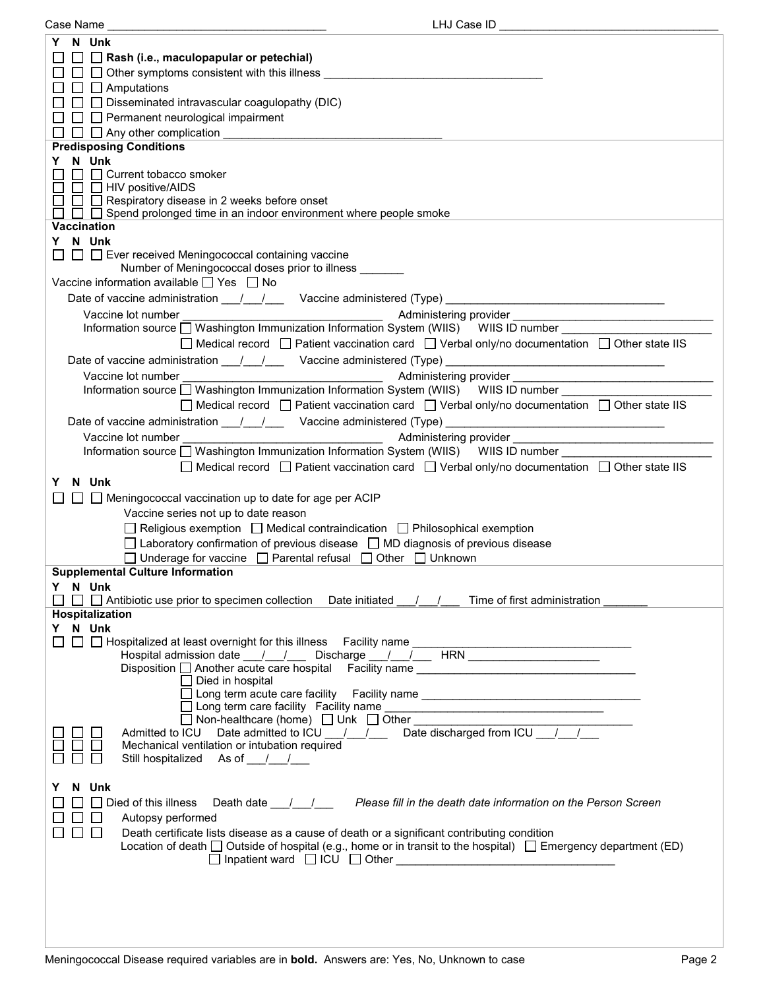| Case Name                                                                                                                                                                                                                     | LHJ Case ID                                                                              |
|-------------------------------------------------------------------------------------------------------------------------------------------------------------------------------------------------------------------------------|------------------------------------------------------------------------------------------|
| Y N Unk                                                                                                                                                                                                                       |                                                                                          |
| $\Box$ Rash (i.e., maculopapular or petechial)                                                                                                                                                                                |                                                                                          |
|                                                                                                                                                                                                                               |                                                                                          |
| $\Box$ Other symptoms consistent with this illness $\Box$                                                                                                                                                                     |                                                                                          |
| $\Box$ $\Box$ Amputations                                                                                                                                                                                                     |                                                                                          |
| $\Box$ Disseminated intravascular coagulopathy (DIC)                                                                                                                                                                          |                                                                                          |
| $\Box$ Permanent neurological impairment                                                                                                                                                                                      |                                                                                          |
|                                                                                                                                                                                                                               |                                                                                          |
| $\Box$ Any other complication                                                                                                                                                                                                 |                                                                                          |
| <b>Predisposing Conditions</b>                                                                                                                                                                                                |                                                                                          |
| Y N Unk                                                                                                                                                                                                                       |                                                                                          |
| $\Box$ Current tobacco smoker                                                                                                                                                                                                 |                                                                                          |
| $\Box$ $\Box$ HIV positive/AIDS                                                                                                                                                                                               |                                                                                          |
| $\Box$ Respiratory disease in 2 weeks before onset                                                                                                                                                                            |                                                                                          |
| $\Box$ Spend prolonged time in an indoor environment where people smoke                                                                                                                                                       |                                                                                          |
| Vaccination                                                                                                                                                                                                                   |                                                                                          |
| Y N Unk                                                                                                                                                                                                                       |                                                                                          |
|                                                                                                                                                                                                                               |                                                                                          |
| $\Box$ Ever received Meningococcal containing vaccine                                                                                                                                                                         |                                                                                          |
| Number of Meningococcal doses prior to illness _______                                                                                                                                                                        |                                                                                          |
| Vaccine information available $\Box$ Yes $\Box$ No                                                                                                                                                                            |                                                                                          |
|                                                                                                                                                                                                                               |                                                                                          |
|                                                                                                                                                                                                                               |                                                                                          |
| Vaccine lot number                                                                                                                                                                                                            | Administering provider                                                                   |
| Information source a Washington Immunization Information System (WIIS) WIIS ID number                                                                                                                                         |                                                                                          |
| $\Box$ Medical record $\Box$ Patient vaccination card $\Box$ Verbal only/no documentation $\Box$ Other state IIS                                                                                                              |                                                                                          |
|                                                                                                                                                                                                                               |                                                                                          |
|                                                                                                                                                                                                                               |                                                                                          |
| Vaccine lot number                                                                                                                                                                                                            |                                                                                          |
| Information source □ Washington Immunization Information System (WIIS) WIIS ID number                                                                                                                                         |                                                                                          |
| $\Box$ Medical record $\Box$ Patient vaccination card $\Box$ Verbal only/no documentation $\Box$ Other state IIS                                                                                                              |                                                                                          |
| Date of vaccine administration 11/2000 Vaccine administered (Type) 2008. [2010]                                                                                                                                               |                                                                                          |
|                                                                                                                                                                                                                               |                                                                                          |
| Vaccine lot number example to the control of the control of Administering provider example to the control of the control of Administering provider example to the control of the control of the control of the control of the |                                                                                          |
| Information source □ Washington Immunization Information System (WIIS) WIIS ID number                                                                                                                                         |                                                                                          |
| $\Box$ Medical record $\Box$ Patient vaccination card $\Box$ Verbal only/no documentation $\Box$ Other state IIS                                                                                                              |                                                                                          |
| Y N Unk                                                                                                                                                                                                                       |                                                                                          |
|                                                                                                                                                                                                                               |                                                                                          |
| $\Box$ Meningococcal vaccination up to date for age per ACIP                                                                                                                                                                  |                                                                                          |
| Vaccine series not up to date reason                                                                                                                                                                                          |                                                                                          |
| $\Box$ Religious exemption $\Box$ Medical contraindication $\Box$ Philosophical exemption                                                                                                                                     |                                                                                          |
| $\Box$ Laboratory confirmation of previous disease $\Box$ MD diagnosis of previous disease                                                                                                                                    |                                                                                          |
|                                                                                                                                                                                                                               |                                                                                          |
| □ Underage for vaccine □ Parental refusal □ Other □ Unknown                                                                                                                                                                   |                                                                                          |
| <b>Supplemental Culture Information</b>                                                                                                                                                                                       |                                                                                          |
| Y N Unk                                                                                                                                                                                                                       |                                                                                          |
| $\Box$ Antibiotic use prior to specimen collection Date initiated $\Box$                                                                                                                                                      | Time of first administration                                                             |
| <b>Hospitalization</b>                                                                                                                                                                                                        |                                                                                          |
| Y N Unk                                                                                                                                                                                                                       |                                                                                          |
|                                                                                                                                                                                                                               |                                                                                          |
|                                                                                                                                                                                                                               |                                                                                          |
| Disposition another acute care hospital Facility name contract and contract the Another Disposition and Another                                                                                                               |                                                                                          |
|                                                                                                                                                                                                                               |                                                                                          |
| □ Died in hospital                                                                                                                                                                                                            |                                                                                          |
| □ Long term acute care facility Facility name __________________________________                                                                                                                                              |                                                                                          |
|                                                                                                                                                                                                                               |                                                                                          |
| □ Non-healthcare (home) □ Unk □ Other _                                                                                                                                                                                       |                                                                                          |
| Admitted to ICU Date admitted to ICU / / / Date discharged from ICU / /                                                                                                                                                       |                                                                                          |
| Mechanical ventilation or intubation required                                                                                                                                                                                 |                                                                                          |
| Still hospitalized As of 1.                                                                                                                                                                                                   |                                                                                          |
|                                                                                                                                                                                                                               |                                                                                          |
| N Unk                                                                                                                                                                                                                         |                                                                                          |
| $\Box$ Died of this illness                                                                                                                                                                                                   | Death date <u>Janual Renesse</u> fill in the death date information on the Person Screen |
|                                                                                                                                                                                                                               |                                                                                          |
| Autopsy performed                                                                                                                                                                                                             |                                                                                          |
| Death certificate lists disease as a cause of death or a significant contributing condition                                                                                                                                   |                                                                                          |
| Location of death $\Box$ Outside of hospital (e.g., home or in transit to the hospital) $\Box$ Emergency department (ED)                                                                                                      |                                                                                          |
|                                                                                                                                                                                                                               |                                                                                          |
|                                                                                                                                                                                                                               |                                                                                          |
|                                                                                                                                                                                                                               |                                                                                          |
|                                                                                                                                                                                                                               |                                                                                          |
|                                                                                                                                                                                                                               |                                                                                          |
|                                                                                                                                                                                                                               |                                                                                          |
|                                                                                                                                                                                                                               |                                                                                          |
|                                                                                                                                                                                                                               |                                                                                          |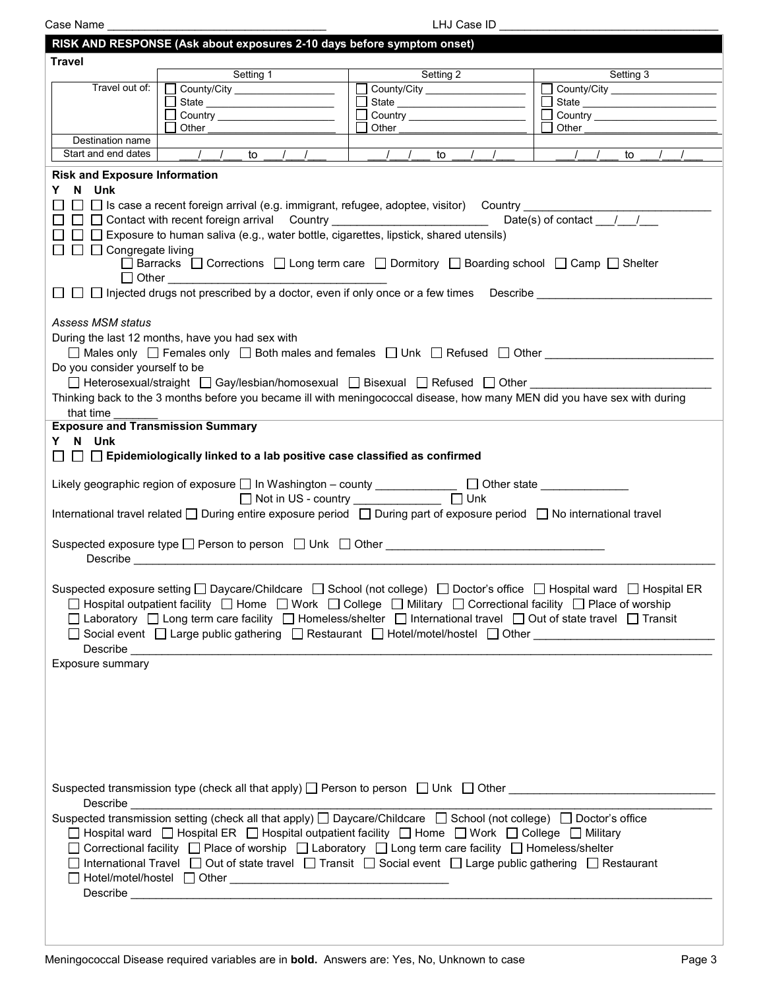Case Name \_\_\_\_\_\_\_\_\_\_\_\_\_\_\_\_\_\_\_\_\_\_\_\_\_\_\_\_\_\_\_\_\_\_\_ LHJ Case ID \_\_\_\_\_\_\_\_\_\_\_\_\_\_\_\_\_\_\_\_\_\_\_\_\_\_\_\_\_\_\_\_\_\_\_

|                                                                                                                                                                                                                                                                                                                                                                                                                                                                                                                                                                                                                  | RISK AND RESPONSE (Ask about exposures 2-10 days before symptom onset)                                                                                                                                                                                                                                                                                                                                                                                                                                                                                                                                                                                                                                                                                                                                                                                                                                                                                                                                                                              |                                     |                                 |  |  |
|------------------------------------------------------------------------------------------------------------------------------------------------------------------------------------------------------------------------------------------------------------------------------------------------------------------------------------------------------------------------------------------------------------------------------------------------------------------------------------------------------------------------------------------------------------------------------------------------------------------|-----------------------------------------------------------------------------------------------------------------------------------------------------------------------------------------------------------------------------------------------------------------------------------------------------------------------------------------------------------------------------------------------------------------------------------------------------------------------------------------------------------------------------------------------------------------------------------------------------------------------------------------------------------------------------------------------------------------------------------------------------------------------------------------------------------------------------------------------------------------------------------------------------------------------------------------------------------------------------------------------------------------------------------------------------|-------------------------------------|---------------------------------|--|--|
| <b>Travel</b>                                                                                                                                                                                                                                                                                                                                                                                                                                                                                                                                                                                                    |                                                                                                                                                                                                                                                                                                                                                                                                                                                                                                                                                                                                                                                                                                                                                                                                                                                                                                                                                                                                                                                     |                                     |                                 |  |  |
|                                                                                                                                                                                                                                                                                                                                                                                                                                                                                                                                                                                                                  | Setting 1                                                                                                                                                                                                                                                                                                                                                                                                                                                                                                                                                                                                                                                                                                                                                                                                                                                                                                                                                                                                                                           | Setting 2                           | Setting 3                       |  |  |
| Travel out of:                                                                                                                                                                                                                                                                                                                                                                                                                                                                                                                                                                                                   | County/City                                                                                                                                                                                                                                                                                                                                                                                                                                                                                                                                                                                                                                                                                                                                                                                                                                                                                                                                                                                                                                         | County/City                         | County/City                     |  |  |
|                                                                                                                                                                                                                                                                                                                                                                                                                                                                                                                                                                                                                  |                                                                                                                                                                                                                                                                                                                                                                                                                                                                                                                                                                                                                                                                                                                                                                                                                                                                                                                                                                                                                                                     | State ________________________<br>П | Country _______________________ |  |  |
|                                                                                                                                                                                                                                                                                                                                                                                                                                                                                                                                                                                                                  | Other                                                                                                                                                                                                                                                                                                                                                                                                                                                                                                                                                                                                                                                                                                                                                                                                                                                                                                                                                                                                                                               | Other                               | Other                           |  |  |
| Destination name                                                                                                                                                                                                                                                                                                                                                                                                                                                                                                                                                                                                 |                                                                                                                                                                                                                                                                                                                                                                                                                                                                                                                                                                                                                                                                                                                                                                                                                                                                                                                                                                                                                                                     |                                     |                                 |  |  |
| Start and end dates                                                                                                                                                                                                                                                                                                                                                                                                                                                                                                                                                                                              | $\sqrt{1}$ to                                                                                                                                                                                                                                                                                                                                                                                                                                                                                                                                                                                                                                                                                                                                                                                                                                                                                                                                                                                                                                       | $\frac{1}{2}$<br>to                 | to                              |  |  |
| <b>Risk and Exposure Information</b><br>Y N Unk<br>$\Box$ Is case a recent foreign arrival (e.g. immigrant, refugee, adoptee, visitor) Country<br>Date(s) of contact $\frac{\ }{}$ / /<br>□ □ □ Contact with recent foreign arrival Country _________________________<br>$\Box$ $\Box$ Exposure to human saliva (e.g., water bottle, cigarettes, lipstick, shared utensils)<br>$\Box$ $\Box$ Congregate living<br>□ Barracks □ Corrections □ Long term care □ Dormitory □ Boarding school □ Camp □ Shelter<br>$\Box$ $\Box$ Injected drugs not prescribed by a doctor, even if only once or a few times Describe |                                                                                                                                                                                                                                                                                                                                                                                                                                                                                                                                                                                                                                                                                                                                                                                                                                                                                                                                                                                                                                                     |                                     |                                 |  |  |
| <b>Assess MSM status</b><br>Do you consider yourself to be<br>that time<br><b>Exposure and Transmission Summary</b><br>Y N Unk                                                                                                                                                                                                                                                                                                                                                                                                                                                                                   | During the last 12 months, have you had sex with<br>$\Box$ Males only $\Box$ Females only $\Box$ Both males and females $\Box$ Unk $\Box$ Refused $\Box$ Other<br>□ Heterosexual/straight □ Gay/lesbian/homosexual □ Bisexual □ Refused □ Other<br>Thinking back to the 3 months before you became ill with meningococcal disease, how many MEN did you have sex with during                                                                                                                                                                                                                                                                                                                                                                                                                                                                                                                                                                                                                                                                        |                                     |                                 |  |  |
| $\Box~\Box~\Box$ Epidemiologically linked to a lab positive case classified as confirmed<br>Likely geographic region of exposure □ In Washington - county ____________ □ Other state ___________<br>$\Box$ Unk<br>Not in US - country _____________<br>International travel related □ During entire exposure period □ During part of exposure period □ No international travel                                                                                                                                                                                                                                   |                                                                                                                                                                                                                                                                                                                                                                                                                                                                                                                                                                                                                                                                                                                                                                                                                                                                                                                                                                                                                                                     |                                     |                                 |  |  |
| Suspected exposure type □ Person to person □ Unk □ Other ________________________                                                                                                                                                                                                                                                                                                                                                                                                                                                                                                                                |                                                                                                                                                                                                                                                                                                                                                                                                                                                                                                                                                                                                                                                                                                                                                                                                                                                                                                                                                                                                                                                     |                                     |                                 |  |  |
| Suspected exposure setting □ Daycare/Childcare □ School (not college) □ Doctor's office □ Hospital ward □ Hospital ER<br>□ Hospital outpatient facility □ Home □ Work □ College □ Military □ Correctional facility □ Place of worship<br>□ Laboratory □ Long term care facility □ Homeless/shelter □ International travel □ Out of state travel □ Transit<br>□ Social event □ Large public gathering □ Restaurant □ Hotel/motel/hostel □ Other _______________________                                                                                                                                           |                                                                                                                                                                                                                                                                                                                                                                                                                                                                                                                                                                                                                                                                                                                                                                                                                                                                                                                                                                                                                                                     |                                     |                                 |  |  |
| Exposure summary                                                                                                                                                                                                                                                                                                                                                                                                                                                                                                                                                                                                 |                                                                                                                                                                                                                                                                                                                                                                                                                                                                                                                                                                                                                                                                                                                                                                                                                                                                                                                                                                                                                                                     |                                     |                                 |  |  |
|                                                                                                                                                                                                                                                                                                                                                                                                                                                                                                                                                                                                                  | Suspected transmission type (check all that apply) $\Box$ Person to person $\Box$ Unk $\Box$ Other<br>Describe <u>__________________________</u><br>Suspected transmission setting (check all that apply) □ Daycare/Childcare □ School (not college) □ Doctor's office<br>□ Hospital ward □ Hospital ER □ Hospital outpatient facility □ Home □ Work □ College □ Military<br>□ Correctional facility □ Place of worship □ Laboratory □ Long term care facility □ Homeless/shelter<br>□ International Travel □ Out of state travel □ Transit □ Social event □ Large public gathering □ Restaurant<br>$\fbox{Hotel/motel/hostel} \fbox{Hotel/motel/hostel} \quad \fbox{Other} \underbrace{\fbox{Hotel/motel/hostel}} \quad \fbox{Hotel/motel/hostel} \quad \fbox{Hotel/motel/hostel} \quad \fbox{Hotel} \quad \fbox{Hotel} \quad \fbox{Hotel} \quad \fbox{Hotel} \quad \fbox{Hotel} \quad \fbox{Hotel} \quad \fbox{Hotel} \quad \fbox{Hotel} \quad \fbox{Hotel} \quad \fbox{Hotel} \quad \fbox{Hotel} \quad \fbox{Hotel} \quad \fbox{Hotel} \quad \f$ |                                     |                                 |  |  |
|                                                                                                                                                                                                                                                                                                                                                                                                                                                                                                                                                                                                                  |                                                                                                                                                                                                                                                                                                                                                                                                                                                                                                                                                                                                                                                                                                                                                                                                                                                                                                                                                                                                                                                     |                                     |                                 |  |  |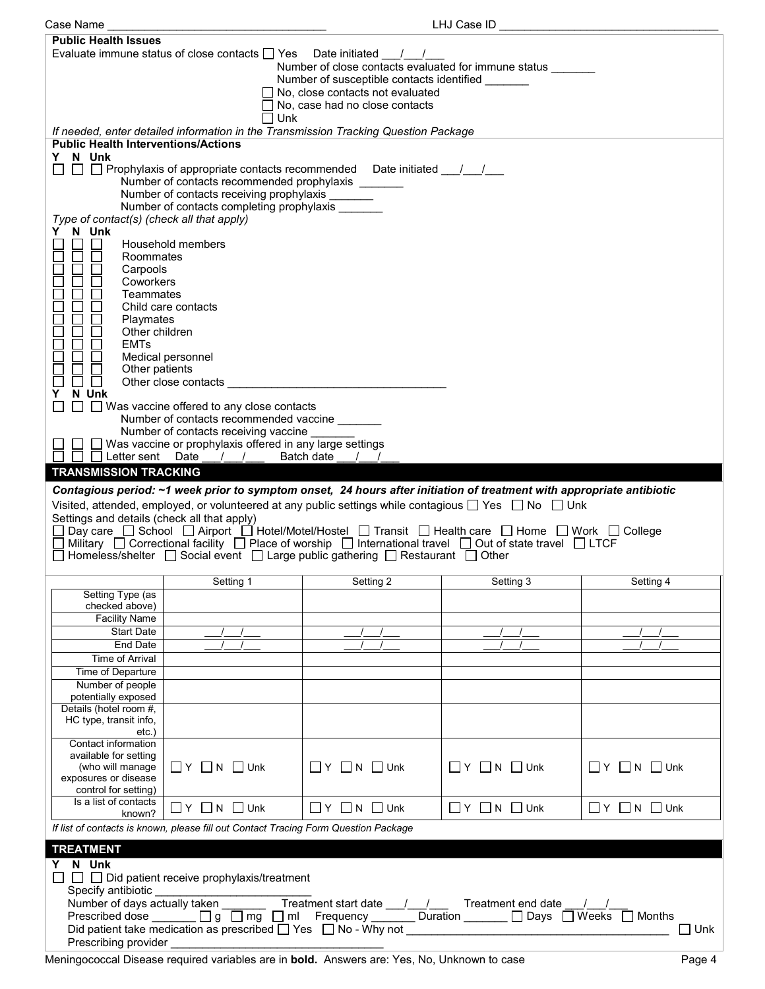| Case Name                                                                                                             |                                                                                                                                  |                                         | LHJ Case ID                      |                                  |  |  |  |
|-----------------------------------------------------------------------------------------------------------------------|----------------------------------------------------------------------------------------------------------------------------------|-----------------------------------------|----------------------------------|----------------------------------|--|--|--|
| <b>Public Health Issues</b>                                                                                           |                                                                                                                                  |                                         |                                  |                                  |  |  |  |
|                                                                                                                       | Evaluate immune status of close contacts $\Box$ Yes Date initiated $\Box$ /                                                      |                                         |                                  |                                  |  |  |  |
| Number of close contacts evaluated for immune status _______                                                          |                                                                                                                                  |                                         |                                  |                                  |  |  |  |
|                                                                                                                       | Number of susceptible contacts identified                                                                                        |                                         |                                  |                                  |  |  |  |
|                                                                                                                       |                                                                                                                                  | $\Box$ No, close contacts not evaluated |                                  |                                  |  |  |  |
|                                                                                                                       |                                                                                                                                  | No, case had no close contacts          |                                  |                                  |  |  |  |
|                                                                                                                       | $\square$ Unk                                                                                                                    |                                         |                                  |                                  |  |  |  |
|                                                                                                                       | If needed, enter detailed information in the Transmission Tracking Question Package                                              |                                         |                                  |                                  |  |  |  |
| <b>Public Health Interventions/Actions</b>                                                                            |                                                                                                                                  |                                         |                                  |                                  |  |  |  |
| N Unk<br>Y                                                                                                            |                                                                                                                                  |                                         |                                  |                                  |  |  |  |
| $\Box$                                                                                                                | $\Box$ Prophylaxis of appropriate contacts recommended Date initiated / /<br>Number of contacts recommended prophylaxis          |                                         |                                  |                                  |  |  |  |
|                                                                                                                       | Number of contacts receiving prophylaxis                                                                                         |                                         |                                  |                                  |  |  |  |
|                                                                                                                       | Number of contacts completing prophylaxis                                                                                        |                                         |                                  |                                  |  |  |  |
| Type of contact(s) (check all that apply)                                                                             |                                                                                                                                  |                                         |                                  |                                  |  |  |  |
| Y N Unk                                                                                                               |                                                                                                                                  |                                         |                                  |                                  |  |  |  |
| П                                                                                                                     | Household members                                                                                                                |                                         |                                  |                                  |  |  |  |
| $\Box$<br>Roommates                                                                                                   |                                                                                                                                  |                                         |                                  |                                  |  |  |  |
| Carpools                                                                                                              |                                                                                                                                  |                                         |                                  |                                  |  |  |  |
| Coworkers                                                                                                             |                                                                                                                                  |                                         |                                  |                                  |  |  |  |
| Teammates<br>$\Box$                                                                                                   |                                                                                                                                  |                                         |                                  |                                  |  |  |  |
| $\Box$                                                                                                                | Child care contacts                                                                                                              |                                         |                                  |                                  |  |  |  |
| Playmates                                                                                                             |                                                                                                                                  |                                         |                                  |                                  |  |  |  |
| Other children<br>$\Box$                                                                                              |                                                                                                                                  |                                         |                                  |                                  |  |  |  |
| $\Box$<br><b>EMTs</b>                                                                                                 |                                                                                                                                  |                                         |                                  |                                  |  |  |  |
| $\Box$                                                                                                                | Medical personnel                                                                                                                |                                         |                                  |                                  |  |  |  |
| Other patients<br>$\mathsf{L}$                                                                                        |                                                                                                                                  |                                         |                                  |                                  |  |  |  |
| $\Box$<br>N Unk<br>Y                                                                                                  | Other close contacts                                                                                                             |                                         |                                  |                                  |  |  |  |
| $\Box$                                                                                                                | $\Box$ Was vaccine offered to any close contacts                                                                                 |                                         |                                  |                                  |  |  |  |
|                                                                                                                       | Number of contacts recommended vaccine                                                                                           |                                         |                                  |                                  |  |  |  |
|                                                                                                                       | Number of contacts receiving vaccine                                                                                             |                                         |                                  |                                  |  |  |  |
|                                                                                                                       | $\Box$ Was vaccine or prophylaxis offered in any large settings                                                                  |                                         |                                  |                                  |  |  |  |
|                                                                                                                       | □ Letter sent Date / / Batch date                                                                                                |                                         |                                  |                                  |  |  |  |
| <b>TRANSMISSION TRACKING</b>                                                                                          |                                                                                                                                  |                                         |                                  |                                  |  |  |  |
|                                                                                                                       |                                                                                                                                  |                                         |                                  |                                  |  |  |  |
| Contagious period: ~1 week prior to symptom onset, 24 hours after initiation of treatment with appropriate antibiotic |                                                                                                                                  |                                         |                                  |                                  |  |  |  |
|                                                                                                                       |                                                                                                                                  |                                         |                                  |                                  |  |  |  |
|                                                                                                                       | Visited, attended, employed, or volunteered at any public settings while contagious $\Box$ Yes $\Box$ No $\Box$ Unk              |                                         |                                  |                                  |  |  |  |
| Settings and details (check all that apply)                                                                           |                                                                                                                                  |                                         |                                  |                                  |  |  |  |
|                                                                                                                       | Day care □ School □ Airport □ Hotel/Motel/Hostel □ Transit □ Health care □ Home □ Work □ College                                 |                                         |                                  |                                  |  |  |  |
|                                                                                                                       | Military $\Box$ Correctional facility $\Box$ Place of worship $\Box$ International travel $\Box$ Out of state travel $\Box$ LTCF |                                         |                                  |                                  |  |  |  |
|                                                                                                                       | Homeless/shelter □ Social event □ Large public gathering □ Restaurant □ Other                                                    |                                         |                                  |                                  |  |  |  |
|                                                                                                                       |                                                                                                                                  |                                         |                                  |                                  |  |  |  |
|                                                                                                                       | Setting 1                                                                                                                        | Setting 2                               | Setting 3                        | Setting 4                        |  |  |  |
| Setting Type (as<br>checked above)                                                                                    |                                                                                                                                  |                                         |                                  |                                  |  |  |  |
| <b>Facility Name</b>                                                                                                  |                                                                                                                                  |                                         |                                  |                                  |  |  |  |
| <b>Start Date</b>                                                                                                     |                                                                                                                                  |                                         |                                  |                                  |  |  |  |
| End Date                                                                                                              |                                                                                                                                  |                                         |                                  |                                  |  |  |  |
| Time of Arrival                                                                                                       |                                                                                                                                  |                                         |                                  |                                  |  |  |  |
| Time of Departure                                                                                                     |                                                                                                                                  |                                         |                                  |                                  |  |  |  |
| Number of people                                                                                                      |                                                                                                                                  |                                         |                                  |                                  |  |  |  |
| potentially exposed                                                                                                   |                                                                                                                                  |                                         |                                  |                                  |  |  |  |
| Details (hotel room #,                                                                                                |                                                                                                                                  |                                         |                                  |                                  |  |  |  |
| HC type, transit info,                                                                                                |                                                                                                                                  |                                         |                                  |                                  |  |  |  |
| $etc.$ )                                                                                                              |                                                                                                                                  |                                         |                                  |                                  |  |  |  |
| Contact information<br>available for setting                                                                          |                                                                                                                                  |                                         |                                  |                                  |  |  |  |
| (who will manage                                                                                                      | $\Box$ $Y$ $\Box$ N $\Box$ Unk                                                                                                   | $\Box$ $Y$ $\Box$ N $\Box$ Unk          | $\Box$ $Y$ $\Box$ N $\Box$ Unk   | $\Box$ $Y$ $\Box$ $N$ $\Box$ Unk |  |  |  |
| exposures or disease                                                                                                  |                                                                                                                                  |                                         |                                  |                                  |  |  |  |
| control for setting)                                                                                                  |                                                                                                                                  |                                         |                                  |                                  |  |  |  |
| Is a list of contacts                                                                                                 |                                                                                                                                  |                                         |                                  |                                  |  |  |  |
| known?                                                                                                                | $\Box$ $Y$ $\Box$ N $\Box$ Unk                                                                                                   | $\Box$ Y $\Box$ N $\Box$ Unk            | $\Box$ $Y$ $\Box$ $N$ $\Box$ Unk | $\Box$ Y $\Box$ N $\Box$ Unk     |  |  |  |
|                                                                                                                       | If list of contacts is known, please fill out Contact Tracing Form Question Package                                              |                                         |                                  |                                  |  |  |  |
| <b>TREATMENT</b>                                                                                                      |                                                                                                                                  |                                         |                                  |                                  |  |  |  |
| Y N Unk                                                                                                               |                                                                                                                                  |                                         |                                  |                                  |  |  |  |
|                                                                                                                       | $\Box$ $\Box$ Did patient receive prophylaxis/treatment                                                                          |                                         |                                  |                                  |  |  |  |
|                                                                                                                       |                                                                                                                                  |                                         |                                  |                                  |  |  |  |
| Specify antibiotic                                                                                                    |                                                                                                                                  |                                         |                                  |                                  |  |  |  |
|                                                                                                                       |                                                                                                                                  |                                         |                                  |                                  |  |  |  |
| Prescribing provider                                                                                                  |                                                                                                                                  |                                         |                                  | $\Box$ Unk                       |  |  |  |

Meningococcal Disease required variables are in **bold.** Answers are: Yes, No, Unknown to case Page 4